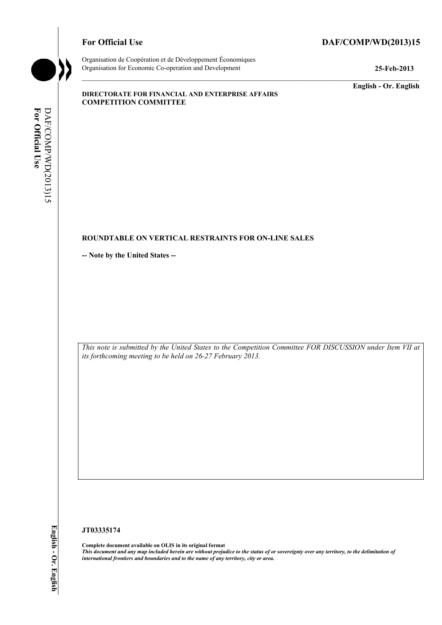# For Official Use DAF/COMP/WD(2013)15



Organisation de Coopération et de Développement Économiques Organisation for Economic Co-operation and Development **25-Feb-2013** 

**English - Or. English** 

#### **DIRECTORATE FOR FINANCIAL AND ENTERPRISE AFFAIRS COMPETITION COMMITTEE**

# For Official Use DAF/COMP/WD(2013)15 **For Official Use**  DAF/COMP/WD(2013)15

# **ROUNDTABLE ON VERTICAL RESTRAINTS FOR ON-LINE SALES**

**-- Note by the United States --** 

 *This note is submitted by the United States to the Competition Committee FOR DISCUSSION under Item VII at its forthcoming meeting to be held on 26-27 February 2013.* 

#### **JT03335174**

 **Complete document available on OLIS in its original format**   *This document and any map included herein are without prejudice to the status of or sovereignty over any territory, to the delimitation of international frontiers and boundaries and to the name of any territory, city or area.*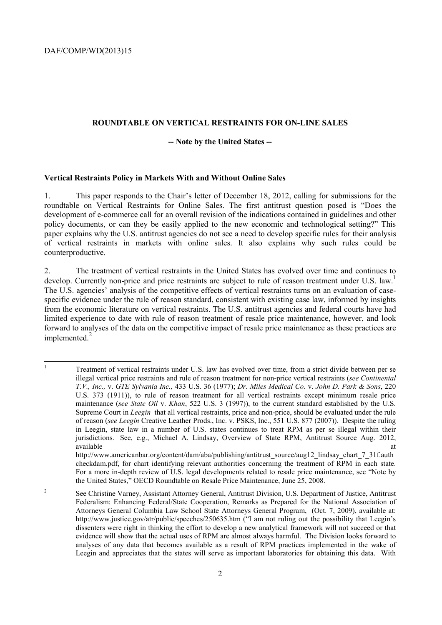$\overline{a}$ 

#### **ROUNDTABLE ON VERTICAL RESTRAINTS FOR ON-LINE SALES**

#### **-- Note by the United States --**

#### **Vertical Restraints Policy in Markets With and Without Online Sales**

1. This paper responds to the Chair's letter of December 18, 2012, calling for submissions for the roundtable on Vertical Restraints for Online Sales. The first antitrust question posed is "Does the development of e-commerce call for an overall revision of the indications contained in guidelines and other policy documents, or can they be easily applied to the new economic and technological setting?" This paper explains why the U.S. antitrust agencies do not see a need to develop specific rules for their analysis of vertical restraints in markets with online sales. It also explains why such rules could be counterproductive.

implemented.<sup>2</sup> 2. The treatment of vertical restraints in the United States has evolved over time and continues to develop. Currently non-price and price restraints are subject to rule of reason treatment under U.S. law.<sup>1</sup> The U.S. agencies' analysis of the competitive effects of vertical restraints turns on an evaluation of casespecific evidence under the rule of reason standard, consistent with existing case law, informed by insights from the economic literature on vertical restraints. The U.S. antitrust agencies and federal courts have had limited experience to date with rule of reason treatment of resale price maintenance, however, and look forward to analyses of the data on the competitive impact of resale price maintenance as these practices are

<sup>1</sup> Treatment of vertical restraints under U.S. law has evolved over time, from a strict divide between per se illegal vertical price restraints and rule of reason treatment for non-price vertical restraints (*see Continental T.V., Inc.,* v. *GTE Sylvania Inc.,* 433 U.S. 36 (1977); *Dr. Miles Medical Co*. v. *John D. Park & Sons*, 220 U.S. 373 (1911)), to rule of reason treatment for all vertical restraints except minimum resale price maintenance (*see State Oil* v. *Khan*, 522 U.S. 3 (1997)), to the current standard established by the U.S. Supreme Court in *Leegin* that all vertical restraints, price and non-price, should be evaluated under the rule of reason (*see Leegin* Creative Leather Prods., Inc. v. PSKS, Inc., 551 U.S. 877 (2007)). Despite the ruling in Leegin, state law in a number of U.S. states continues to treat RPM as per se illegal within their jurisdictions. See, e.g., Michael A. Lindsay, Overview of State RPM, Antitrust Source Aug. 2012, available at the contract of the contract of the contract of the contract of the contract of the contract of the contract of the contract of the contract of the contract of the contract of the contract of the contract of t

 checkdam.pdf, for chart identifying relevant authorities concerning the treatment of RPM in each state. http://www.americanbar.org/content/dam/aba/publishing/antitrust\_source/aug12\_lindsay\_chart\_7\_31f.auth For a more in-depth review of U.S. legal developments related to resale price maintenance, see "Note by the United States," OECD Roundtable on Resale Price Maintenance, June 25, 2008.

 $\overline{2}$ 2 See Christine Varney, Assistant Attorney General, Antitrust Division, U.S. Department of Justice, Antitrust Federalism: Enhancing Federal/State Cooperation, Remarks as Prepared for the National Association of Attorneys General Columbia Law School State Attorneys General Program, (Oct. 7, 2009), available at: http://www.justice.gov/atr/public/speeches/250635.htm ("I am not ruling out the possibility that Leegin's dissenters were right in thinking the effort to develop a new analytical framework will not succeed or that evidence will show that the actual uses of RPM are almost always harmful. The Division looks forward to analyses of any data that becomes available as a result of RPM practices implemented in the wake of Leegin and appreciates that the states will serve as important laboratories for obtaining this data. With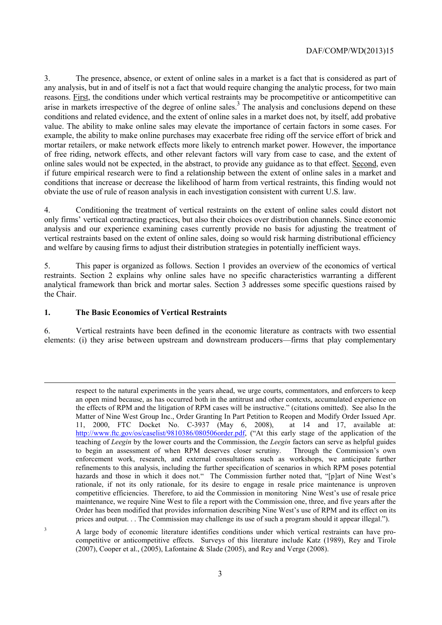conditions that increase or decrease the likelihood of harm from vertical restraints, this finding would not obviate the use of rule of reason analysis in each investigation consistent with current U.S. law. 3. The presence, absence, or extent of online sales in a market is a fact that is considered as part of any analysis, but in and of itself is not a fact that would require changing the analytic process, for two main reasons. First, the conditions under which vertical restraints may be procompetitive or anticompetitive can arise in markets irrespective of the degree of online sales.<sup>3</sup> The analysis and conclusions depend on these conditions and related evidence, and the extent of online sales in a market does not, by itself, add probative value. The ability to make online sales may elevate the importance of certain factors in some cases. For example, the ability to make online purchases may exacerbate free riding off the service effort of brick and mortar retailers, or make network effects more likely to entrench market power. However, the importance of free riding, network effects, and other relevant factors will vary from case to case, and the extent of online sales would not be expected, in the abstract, to provide any guidance as to that effect. Second, even if future empirical research were to find a relationship between the extent of online sales in a market and

4. Conditioning the treatment of vertical restraints on the extent of online sales could distort not only firms' vertical contracting practices, but also their choices over distribution channels. Since economic analysis and our experience examining cases currently provide no basis for adjusting the treatment of vertical restraints based on the extent of online sales, doing so would risk harming distributional efficiency and welfare by causing firms to adjust their distribution strategies in potentially inefficient ways.

5. This paper is organized as follows. Section 1 provides an overview of the economics of vertical restraints. Section 2 explains why online sales have no specific characteristics warranting a different analytical framework than brick and mortar sales. Section 3 addresses some specific questions raised by the Chair.

#### **1. The Basic Economics of Vertical Restraints**

-

3

6. Vertical restraints have been defined in the economic literature as contracts with two essential elements: (i) they arise between upstream and downstream producers—firms that play complementary

 the effects of RPM and the litigation of RPM cases will be instructive." (citations omitted). See also In the 11, 2000, FTC Docket No. C-3937 (May 6, 2008), at 14 and 17, available at: http://www.ftc.gov/os/caselist/9810386/080506order.pdf, ("At this early stage of the application of the refinements to this analysis, including the further specification of scenarios in which RPM poses potential respect to the natural experiments in the years ahead, we urge courts, commentators, and enforcers to keep an open mind because, as has occurred both in the antitrust and other contexts, accumulated experience on Matter of Nine West Group Inc., Order Granting In Part Petition to Reopen and Modify Order Issued Apr. teaching of *Leegin* by the lower courts and the Commission, the *Leegin* factors can serve as helpful guides to begin an assessment of when RPM deserves closer scrutiny. Through the Commission's own enforcement work, research, and external consultations such as workshops, we anticipate further hazards and those in which it does not." The Commission further noted that, "[p]art of Nine West's rationale, if not its only rationale, for its desire to engage in resale price maintenance is unproven competitive efficiencies. Therefore, to aid the Commission in monitoring Nine West's use of resale price maintenance, we require Nine West to file a report with the Commission one, three, and five years after the Order has been modified that provides information describing Nine West's use of RPM and its effect on its prices and output. . . The Commission may challenge its use of such a program should it appear illegal.").

A large body of economic literature identifies conditions under which vertical restraints can have procompetitive or anticompetitive effects. Surveys of this literature include Katz (1989), Rey and Tirole (2007), Cooper et al., (2005), Lafontaine & Slade (2005), and Rey and Verge (2008).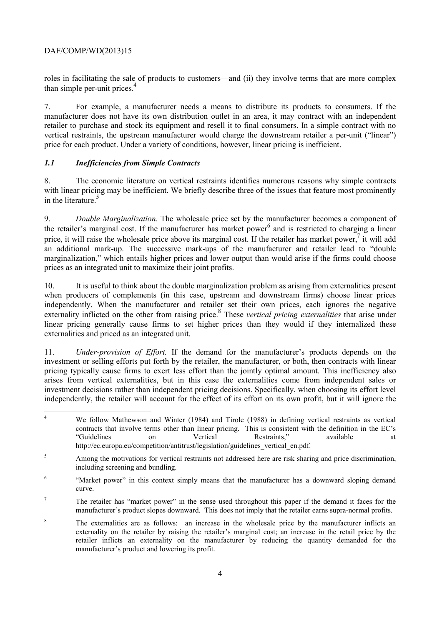roles in facilitating the sale of products to customers—and (ii) they involve terms that are more complex than simple per-unit prices.<sup>4</sup>

7. For example, a manufacturer needs a means to distribute its products to consumers. If the manufacturer does not have its own distribution outlet in an area, it may contract with an independent retailer to purchase and stock its equipment and resell it to final consumers. In a simple contract with no vertical restraints, the upstream manufacturer would charge the downstream retailer a per-unit ("linear") price for each product. Under a variety of conditions, however, linear pricing is inefficient.

## *1.1 Inefficiencies from Simple Contracts*

8. The economic literature on vertical restraints identifies numerous reasons why simple contracts with linear pricing may be inefficient. We briefly describe three of the issues that feature most prominently in the literature.<sup>5</sup>

price, it will raise the wholesale price above its marginal cost. If the retailer has market power,<sup>7</sup> it will add prices as an integrated unit to maximize their joint profits. 9. *Double Marginalization.* The wholesale price set by the manufacturer becomes a component of the retailer's marginal cost. If the manufacturer has market power<sup>6</sup> and is restricted to charging a linear an additional mark-up. The successive mark-ups of the manufacturer and retailer lead to "double marginalization," which entails higher prices and lower output than would arise if the firms could choose

10. It is useful to think about the double marginalization problem as arising from externalities present when producers of complements (in this case, upstream and downstream firms) choose linear prices independently. When the manufacturer and retailer set their own prices, each ignores the negative externality inflicted on the other from raising price.<sup>8</sup> These *vertical pricing externalities* that arise under linear pricing generally cause firms to set higher prices than they would if they internalized these externalities and priced as an integrated unit.

 arises from vertical externalities, but in this case the externalities come from independent sales or investment decisions rather than independent pricing decisions. Specifically, when choosing its effort level 11. *Under-provision of Effort.* If the demand for the manufacturer's products depends on the investment or selling efforts put forth by the retailer, the manufacturer, or both, then contracts with linear pricing typically cause firms to exert less effort than the jointly optimal amount. This inefficiency also independently, the retailer will account for the effect of its effort on its own profit, but it will ignore the

 4 We follow Mathewson and Winter (1984) and Tirole (1988) in defining vertical restraints as vertical contracts that involve terms other than linear pricing. This is consistent with the definition in the EC's "Guidelines on Vertical Restraints," available at http://ec.europa.eu/competition/antitrust/legislation/guidelines\_vertical\_en.pdf.

<sup>&</sup>lt;sup>5</sup> Among the motivations for vertical restraints not addressed here are risk sharing and price discrimination, including screening and bundling.

<sup>&</sup>lt;sup>6</sup> "Market power" in this context simply means that the manufacturer has a downward sloping demand curve.

<sup>&</sup>lt;sup>7</sup> The retailer has "market power" in the sense used throughout this paper if the demand it faces for the manufacturer's product slopes downward. This does not imply that the retailer earns supra-normal profits.

 retailer inflicts an externality on the manufacturer by reducing the quantity demanded for the <sup>8</sup> The externalities are as follows: an increase in the wholesale price by the manufacturer inflicts an externality on the retailer by raising the retailer's marginal cost; an increase in the retail price by the manufacturer's product and lowering its profit.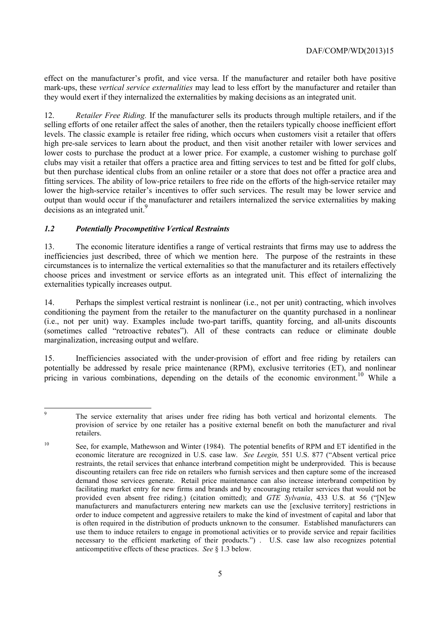effect on the manufacturer's profit, and vice versa. If the manufacturer and retailer both have positive mark-ups, these *vertical service externalities* may lead to less effort by the manufacturer and retailer than they would exert if they internalized the externalities by making decisions as an integrated unit.

12. *Retailer Free Riding.* If the manufacturer sells its products through multiple retailers, and if the selling efforts of one retailer affect the sales of another, then the retailers typically choose inefficient effort levels. The classic example is retailer free riding, which occurs when customers visit a retailer that offers high pre-sale services to learn about the product, and then visit another retailer with lower services and lower costs to purchase the product at a lower price. For example, a customer wishing to purchase golf clubs may visit a retailer that offers a practice area and fitting services to test and be fitted for golf clubs, but then purchase identical clubs from an online retailer or a store that does not offer a practice area and fitting services. The ability of low-price retailers to free ride on the efforts of the high-service retailer may lower the high-service retailer's incentives to offer such services. The result may be lower service and output than would occur if the manufacturer and retailers internalized the service externalities by making decisions as an integrated unit.<sup>9</sup>

# *1.2 Potentially Procompetitive Vertical Restraints*

 circumstances is to internalize the vertical externalities so that the manufacturer and its retailers effectively 13. The economic literature identifies a range of vertical restraints that firms may use to address the inefficiencies just described, three of which we mention here. The purpose of the restraints in these choose prices and investment or service efforts as an integrated unit. This effect of internalizing the externalities typically increases output.

14. Perhaps the simplest vertical restraint is nonlinear (i.e., not per unit) contracting, which involves conditioning the payment from the retailer to the manufacturer on the quantity purchased in a nonlinear (i.e., not per unit) way. Examples include two-part tariffs, quantity forcing, and all-units discounts (sometimes called "retroactive rebates"). All of these contracts can reduce or eliminate double marginalization, increasing output and welfare.

15. Inefficiencies associated with the under-provision of effort and free riding by retailers can potentially be addressed by resale price maintenance (RPM), exclusive territories (ET), and nonlinear pricing in various combinations, depending on the details of the economic environment.<sup>10</sup> While a

 $\circ$ The service externality that arises under free riding has both vertical and horizontal elements. The provision of service by one retailer has a positive external benefit on both the manufacturer and rival retailers.

 economic literature are recognized in U.S. case law. *See Leegin,* 551 U.S. 877 ("Absent vertical price facilitating market entry for new firms and brands and by encouraging retailer services that would not be manufacturers and manufacturers entering new markets can use the [exclusive territory] restrictions in 10 See, for example, Mathewson and Winter (1984). The potential benefits of RPM and ET identified in the restraints, the retail services that enhance interbrand competition might be underprovided. This is because discounting retailers can free ride on retailers who furnish services and then capture some of the increased demand those services generate. Retail price maintenance can also increase interbrand competition by provided even absent free riding.) (citation omitted); and *GTE Sylvania*, 433 U.S. at 56 ("[N]ew order to induce competent and aggressive retailers to make the kind of investment of capital and labor that is often required in the distribution of products unknown to the consumer. Established manufacturers can use them to induce retailers to engage in promotional activities or to provide service and repair facilities necessary to the efficient marketing of their products.") . U.S. case law also recognizes potential anticompetitive effects of these practices. *See* § 1.3 below.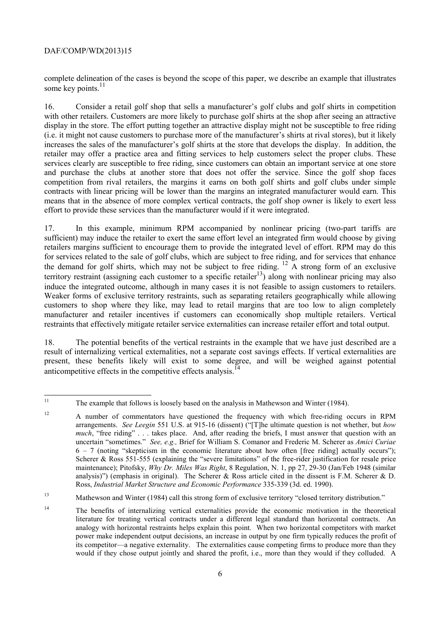complete delineation of the cases is beyond the scope of this paper, we describe an example that illustrates some key points. $11$ 

 retailer may offer a practice area and fitting services to help customers select the proper clubs. These 16. Consider a retail golf shop that sells a manufacturer's golf clubs and golf shirts in competition with other retailers. Customers are more likely to purchase golf shirts at the shop after seeing an attractive display in the store. The effort putting together an attractive display might not be susceptible to free riding (i.e. it might not cause customers to purchase more of the manufacturer's shirts at rival stores), but it likely increases the sales of the manufacturer's golf shirts at the store that develops the display. In addition, the services clearly are susceptible to free riding, since customers can obtain an important service at one store and purchase the clubs at another store that does not offer the service. Since the golf shop faces competition from rival retailers, the margins it earns on both golf shirts and golf clubs under simple contracts with linear pricing will be lower than the margins an integrated manufacturer would earn. This means that in the absence of more complex vertical contracts, the golf shop owner is likely to exert less effort to provide these services than the manufacturer would if it were integrated.

17. In this example, minimum RPM accompanied by nonlinear pricing (two-part tariffs are sufficient) may induce the retailer to exert the same effort level an integrated firm would choose by giving retailers margins sufficient to encourage them to provide the integrated level of effort. RPM may do this for services related to the sale of golf clubs, which are subject to free riding, and for services that enhance the demand for golf shirts, which may not be subject to free riding.  $\frac{12}{9}$  A strong form of an exclusive territory restraint (assigning each customer to a specific retailer<sup>13</sup>) along with nonlinear pricing may also induce the integrated outcome, although in many cases it is not feasible to assign customers to retailers. Weaker forms of exclusive territory restraints, such as separating retailers geographically while allowing customers to shop where they like, may lead to retail margins that are too low to align completely manufacturer and retailer incentives if customers can economically shop multiple retailers. Vertical restraints that effectively mitigate retailer service externalities can increase retailer effort and total output.

 18. The potential benefits of the vertical restraints in the example that we have just described are a result of internalizing vertical externalities, not a separate cost savings effects. If vertical externalities are present, these benefits likely will exist to some degree, and will be weighed against potential anticompetitive effects in the competitive effects analysis.<sup>1</sup>

<sup>11</sup> The example that follows is loosely based on the analysis in Mathewson and Winter (1984).

 arrangements. *See Leegin* 551 U.S. at 915-16 (dissent) ("[T]he ultimate question is not whether, but *how much*, "free riding" . . . takes place. And, after reading the briefs, I must answer that question with an  maintenance); Pitofsky, *Why Dr. Miles Was Right*, 8 Regulation, N. 1, pp 27, 29-30 (Jan/Feb 1948 (similar <sup>12</sup> A number of commentators have questioned the frequency with which free-riding occurs in RPM uncertain "sometimes." *See, e.g.,* Brief for William S. Comanor and Frederic M. Scherer as *Amici Curiae*   $6 - 7$  (noting "skepticism in the economic literature about how often [free riding] actually occurs"); Scherer & Ross 551-555 (explaining the "severe limitations" of the free-rider justification for resale price analysis)") (emphasis in original). The Scherer & Ross article cited in the dissent is F.M. Scherer & D. Ross, *Industrial Market Structure and Economic Performance* 335-339 (3d. ed. 1990).

<sup>13</sup> Mathewson and Winter (1984) call this strong form of exclusive territory "closed territory distribution."

 $14$  analogy with horizontal restraints helps explain this point. When two horizontal competitors with market would if they chose output jointly and shared the profit, i.e., more than they would if they colluded. A 14 The benefits of internalizing vertical externalities provide the economic motivation in the theoretical literature for treating vertical contracts under a different legal standard than horizontal contracts. An power make independent output decisions, an increase in output by one firm typically reduces the profit of its competitor—a negative externality. The externalities cause competing firms to produce more than they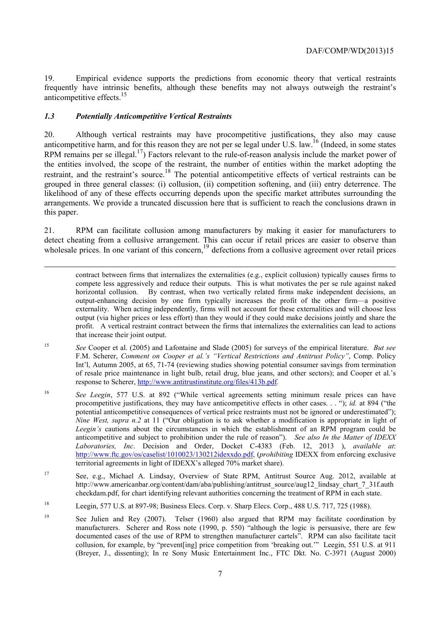anticompetitive effects.<sup>15</sup> 19. Empirical evidence supports the predictions from economic theory that vertical restraints frequently have intrinsic benefits, although these benefits may not always outweigh the restraint's

## *1.3 Potentially Anticompetitive Vertical Restraints*

-

RPM remains per se illegal.<sup>17</sup>) Factors relevant to the rule-of-reason analysis include the market power of 20. Although vertical restraints may have procompetitive justifications, they also may cause anticompetitive harm, and for this reason they are not per se legal under U.S. law.<sup>16</sup> (Indeed, in some states the entities involved, the scope of the restraint, the number of entities within the market adopting the restraint, and the restraint's source.<sup>18</sup> The potential anticompetitive effects of vertical restraints can be grouped in three general classes: (i) collusion, (ii) competition softening, and (iii) entry deterrence. The likelihood of any of these effects occurring depends upon the specific market attributes surrounding the arrangements. We provide a truncated discussion here that is sufficient to reach the conclusions drawn in this paper.

21. RPM can facilitate collusion among manufacturers by making it easier for manufacturers to detect cheating from a collusive arrangement. This can occur if retail prices are easier to observe than wholesale prices. In one variant of this concern,  $19$  defections from a collusive agreement over retail prices

that increase their joint output. contract between firms that internalizes the externalities (e.g., explicit collusion) typically causes firms to compete less aggressively and reduce their outputs. This is what motivates the per se rule against naked horizontal collusion. By contrast, when two vertically related firms make independent decisions, an output-enhancing decision by one firm typically increases the profit of the other firm—a positive externality. When acting independently, firms will not account for these externalities and will choose less output (via higher prices or less effort) than they would if they could make decisions jointly and share the profit. A vertical restraint contract between the firms that internalizes the externalities can lead to actions

- response to Scherer, http://www.antitrustinstitute.org/files/413b.pdf. <sup>15</sup> *See* Cooper et al. (2005) and Lafontaine and Slade (2005) for surveys of the empirical literature. *But see* F.M. Scherer, *Comment on Cooper et al.'s "Vertical Restrictions and Antitrust Policy"*, Comp. Policy Int'l, Autumn 2005, at 65, 71-74 (reviewing studies showing potential consumer savings from termination of resale price maintenance in light bulb, retail drug, blue jeans, and other sectors); and Cooper et al.'s
- 16 *See Leegin*, 577 U.S. at 892 ("While vertical agreements setting minimum resale prices can have procompetitive justifications, they may have anticompetitive effects in other cases. . . "); *id.* at 894 ("the potential anticompetitive consequences of vertical price restraints must not be ignored or underestimated"); *Nine West, supra n.2* at 11 ("Our obligation is to ask whether a modification is appropriate in light of *Leegin's* cautions about the circumstances in which the establishment of an RPM program could be anticompetitive and subject to prohibition under the rule of reason"). *See also In the Matter of IDEXX Laboratories, Inc*. Decision and Order, Docket C-4383 (Feb. 12, 2013 ), *available at*: http://www.ftc.gov/os/caselist/1010023/130212idexxdo.pdf, (*prohibiting* IDEXX from enforcing exclusive territorial agreements in light of IDEXX's alleged 70% market share).
- 17 See, e.g., Michael A. Lindsay, Overview of State RPM, Antitrust Source Aug. 2012, available at http://www.americanbar.org/content/dam/aba/publishing/antitrust\_source/aug12\_lindsay\_chart\_7\_31f.auth checkdam.pdf, for chart identifying relevant authorities concerning the treatment of RPM in each state.
- 18 Leegin, 577 U.S. at 897-98; Business Elecs. Corp. v. Sharp Elecs. Corp., 488 U.S. 717, 725 (1988).
- documented cases of the use of RPM to strengthen manufacturer cartels". RPM can also facilitate tacit collusion, for example, by "prevent[ing] price competition from 'breaking out.'" Leegin, 551 U.S. at 911 <sup>19</sup> See Julien and Rey (2007). Telser (1960) also argued that RPM may facilitate coordination by manufacturers. Scherer and Ross note (1990, p. 550) "although the logic is persuasive, there are few (Breyer, J., dissenting); In re Sony Music Entertainment Inc., FTC Dkt. No. C-3971 (August 2000)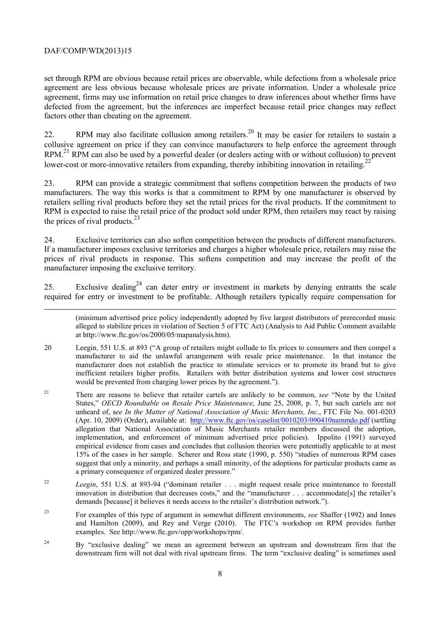1

set through RPM are obvious because retail prices are observable, while defections from a wholesale price agreement are less obvious because wholesale prices are private information. Under a wholesale price agreement, firms may use information on retail price changes to draw inferences about whether firms have defected from the agreement, but the inferences are imperfect because retail price changes may reflect factors other than cheating on the agreement.

22. RPM may also facilitate collusion among retailers.<sup>20</sup> It may be easier for retailers to sustain a collusive agreement on price if they can convince manufacturers to help enforce the agreement through RPM.<sup>21</sup> RPM can also be used by a powerful dealer (or dealers acting with or without collusion) to prevent lower-cost or more-innovative retailers from expanding, thereby inhibiting innovation in retailing.<sup>2</sup>

23. RPM can provide a strategic commitment that softens competition between the products of two manufacturers. The way this works is that a commitment to RPM by one manufacturer is observed by retailers selling rival products before they set the retail prices for the rival products. If the commitment to RPM is expected to raise the retail price of the product sold under RPM, then retailers may react by raising the prices of rival products. $^{23}$ 

24. Exclusive territories can also soften competition between the products of different manufacturers. If a manufacturer imposes exclusive territories and charges a higher wholesale price, retailers may raise the prices of rival products in response. This softens competition and may increase the profit of the manufacturer imposing the exclusive territory.

25. Exclusive dealing<sup>24</sup> can deter entry or investment in markets by denying entrants the scale required for entry or investment to be profitable. Although retailers typically require compensation for

 (minimum advertised price policy independently adopted by five largest distributors of prerecorded music alleged to stabilize prices in violation of Section 5 of FTC Act) (Analysis to Aid Public Comment available at http://www.ftc.gov/os/2000/05/mapanalysis.htm).

- manufacturer does not establish the practice to stimulate services or to promote its brand but to give 20 Leegin, 551 U.S. at 893 ("A group of retailers might collude to fix prices to consumers and then compel a manufacturer to aid the unlawful arrangement with resale price maintenance. In that instance the inefficient retailers higher profits. Retailers with better distribution systems and lower cost structures would be prevented from charging lower prices by the agreement.").
- (Apr. 10, 2009) (Order), available at: http://www.ftc.gov/os/caselist/0010203/090410nammdo.pdf (settling empirical evidence from cases and concludes that collusion theories were potentially applicable to at most 21 There are reasons to believe that retailer cartels are unlikely to be common, *see* "Note by the United States," *OECD Roundtable on Resale Price Maintenance*, June 25, 2008, p. 7, but such cartels are not unheard of, s*ee In the Matter of National Association of Music Merchants, Inc*., FTC File No. 001-0203 allegation that National Association of Music Merchants retailer members discussed the adoption, implementation, and enforcement of minimum advertised price policies). Ippolito (1991) surveyed 15% of the cases in her sample. Scherer and Ross state (1990, p. 550) "studies of numerous RPM cases suggest that only a minority, and perhaps a small minority, of the adoptions for particular products came as a primary consequence of organized dealer pressure."
- <sup>22</sup> Leegin, 551 U.S. at 893-94 ("dominant retailer . . . might request resale price maintenance to forestall innovation in distribution that decreases costs," and the "manufacturer . . . accommodate[s] the retailer's demands [because] it believes it needs access to the retailer's distribution network.").
- 23 For examples of this type of argument in somewhat different environments, *see* Shaffer (1992) and Innes and Hamilton (2009), and Rey and Verge (2010). The FTC's workshop on RPM provides further examples. See http://www.ftc.gov/opp/workshops/rpm/.
- $24$  downstream firm will not deal with rival upstream firms. The term "exclusive dealing" is sometimes used 24 By "exclusive dealing" we mean an agreement between an upstream and downstream firm that the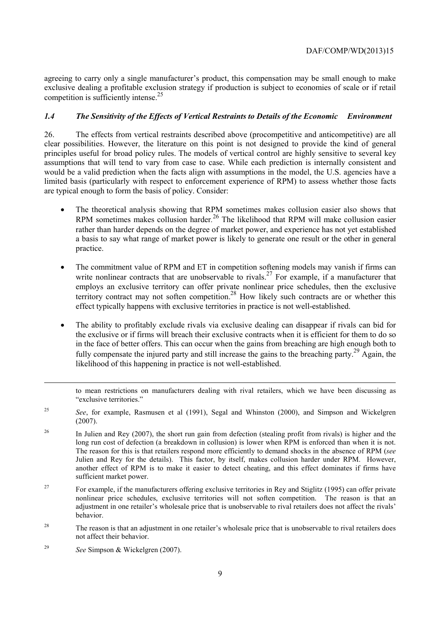exclusive dealing a profitable exclusion strategy if production is subject to economies of scale or if retail agreeing to carry only a single manufacturer's product, this compensation may be small enough to make competition is sufficiently intense.<sup>25</sup>

#### *1.4 The Sensitivity of the Effects of Vertical Restraints to Details of the Economic Environment*

26. The effects from vertical restraints described above (procompetitive and anticompetitive) are all clear possibilities. However, the literature on this point is not designed to provide the kind of general principles useful for broad policy rules. The models of vertical control are highly sensitive to several key assumptions that will tend to vary from case to case. While each prediction is internally consistent and would be a valid prediction when the facts align with assumptions in the model, the U.S. agencies have a limited basis (particularly with respect to enforcement experience of RPM) to assess whether those facts are typical enough to form the basis of policy. Consider:

- The theoretical analysis showing that RPM sometimes makes collusion easier also shows that RPM sometimes makes collusion harder*.*  26 The likelihood that RPM will make collusion easier rather than harder depends on the degree of market power, and experience has not yet established a basis to say what range of market power is likely to generate one result or the other in general practice.
- The commitment value of RPM and ET in competition softening models may vanish if firms can write nonlinear contracts that are unobservable to rivals.<sup>27</sup> For example, if a manufacturer that employs an exclusive territory can offer private nonlinear price schedules, then the exclusive territory contract may not soften competition.<sup>28</sup> How likely such contracts are or whether this effect typically happens with exclusive territories in practice is not well-established.
- The ability to profitably exclude rivals via exclusive dealing can disappear if rivals can bid for the exclusive or if firms will breach their exclusive contracts when it is efficient for them to do so in the face of better offers. This can occur when the gains from breaching are high enough both to fully compensate the injured party and still increase the gains to the breaching party.<sup>29</sup> Again, the likelihood of this happening in practice is not well-established.

to mean restrictions on manufacturers dealing with rival retailers, which we have been discussing as "exclusive territories."

<sup>25</sup>*See*, for example, Rasmusen et al (1991), Segal and Whinston (2000), and Simpson and Wickelgren (2007).

long run cost of defection (a breakdown in collusion) is lower when RPM is enforced than when it is not. Julien and Rey for the details). This factor, by itself, makes collusion harder under RPM. However, another effect of RPM is to make it easier to detect cheating, and this effect dominates if firms have <sup>26</sup> In Julien and Rey (2007), the short run gain from defection (stealing profit from rivals) is higher and the The reason for this is that retailers respond more efficiently to demand shocks in the absence of RPM (*see* sufficient market power.

<sup>27</sup> For example, if the manufacturers offering exclusive territories in Rey and Stiglitz (1995) can offer private nonlinear price schedules, exclusive territories will not soften competition. The reason is that an adjustment in one retailer's wholesale price that is unobservable to rival retailers does not affect the rivals' behavior.

<sup>28</sup> The reason is that an adjustment in one retailer's wholesale price that is unobservable to rival retailers does not affect their behavior.

<sup>29</sup>*See* Simpson & Wickelgren (2007).

1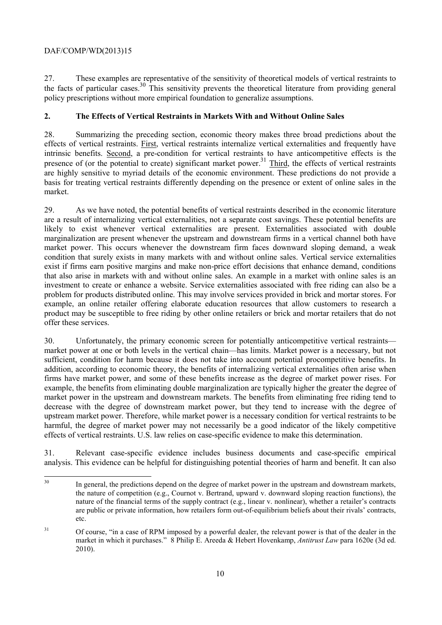27. These examples are representative of the sensitivity of theoretical models of vertical restraints to the facts of particular cases.<sup>30</sup> This sensitivity prevents the theoretical literature from providing general policy prescriptions without more empirical foundation to generalize assumptions.

# **2. The Effects of Vertical Restraints in Markets With and Without Online Sales**

28. Summarizing the preceding section, economic theory makes three broad predictions about the effects of vertical restraints. First, vertical restraints internalize vertical externalities and frequently have intrinsic benefits. Second, a pre-condition for vertical restraints to have anticompetitive effects is the presence of (or the potential to create) significant market power.<sup>31</sup> Third, the effects of vertical restraints are highly sensitive to myriad details of the economic environment. These predictions do not provide a basis for treating vertical restraints differently depending on the presence or extent of online sales in the market.

29. As we have noted, the potential benefits of vertical restraints described in the economic literature are a result of internalizing vertical externalities, not a separate cost savings. These potential benefits are likely to exist whenever vertical externalities are present. Externalities associated with double marginalization are present whenever the upstream and downstream firms in a vertical channel both have market power. This occurs whenever the downstream firm faces downward sloping demand, a weak condition that surely exists in many markets with and without online sales. Vertical service externalities exist if firms earn positive margins and make non-price effort decisions that enhance demand, conditions that also arise in markets with and without online sales. An example in a market with online sales is an investment to create or enhance a website. Service externalities associated with free riding can also be a problem for products distributed online. This may involve services provided in brick and mortar stores. For example, an online retailer offering elaborate education resources that allow customers to research a product may be susceptible to free riding by other online retailers or brick and mortar retailers that do not offer these services.

 market power in the upstream and downstream markets. The benefits from eliminating free riding tend to 30. Unfortunately, the primary economic screen for potentially anticompetitive vertical restraints market power at one or both levels in the vertical chain—has limits. Market power is a necessary, but not sufficient, condition for harm because it does not take into account potential procompetitive benefits. In addition, according to economic theory, the benefits of internalizing vertical externalities often arise when firms have market power, and some of these benefits increase as the degree of market power rises. For example, the benefits from eliminating double marginalization are typically higher the greater the degree of decrease with the degree of downstream market power, but they tend to increase with the degree of upstream market power. Therefore, while market power is a necessary condition for vertical restraints to be harmful, the degree of market power may not necessarily be a good indicator of the likely competitive effects of vertical restraints. U.S. law relies on case-specific evidence to make this determination.

31. Relevant case-specific evidence includes business documents and case-specific empirical analysis. This evidence can be helpful for distinguishing potential theories of harm and benefit. It can also

 In general, the predictions depend on the degree of market power in the upstream and downstream markets, the nature of competition (e.g., Cournot v. Bertrand, upward v. downward sloping reaction functions), the nature of the financial terms of the supply contract (e.g., linear v. nonlinear), whether a retailer's contracts are public or private information, how retailers form out-of-equilibrium beliefs about their rivals' contracts, etc.

<sup>&</sup>lt;sup>31</sup> Of course, "in a case of RPM imposed by a powerful dealer, the relevant power is that of the dealer in the market in which it purchases." 8 Philip E. Areeda & Hebert Hovenkamp, *Antitrust Law* para 1620e (3d ed. 2010).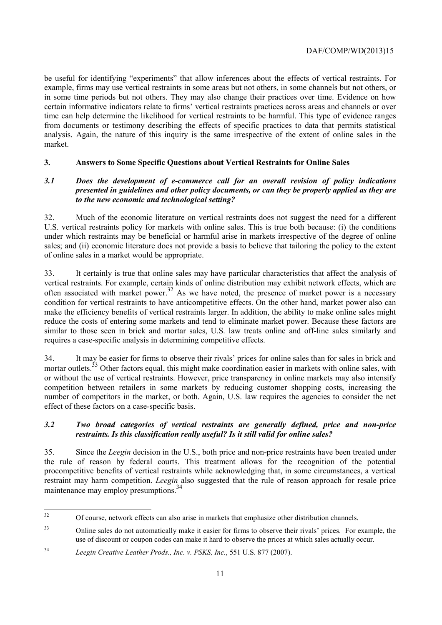be useful for identifying "experiments" that allow inferences about the effects of vertical restraints. For example, firms may use vertical restraints in some areas but not others, in some channels but not others, or in some time periods but not others. They may also change their practices over time. Evidence on how certain informative indicators relate to firms' vertical restraints practices across areas and channels or over time can help determine the likelihood for vertical restraints to be harmful. This type of evidence ranges from documents or testimony describing the effects of specific practices to data that permits statistical analysis. Again, the nature of this inquiry is the same irrespective of the extent of online sales in the market.

## **3. Answers to Some Specific Questions about Vertical Restraints for Online Sales**

#### *3.1 Does the development of e-commerce call for an overall revision of policy indications presented in guidelines and other policy documents, or can they be properly applied as they are to the new economic and technological setting?*

32. Much of the economic literature on vertical restraints does not suggest the need for a different U.S. vertical restraints policy for markets with online sales. This is true both because: (i) the conditions under which restraints may be beneficial or harmful arise in markets irrespective of the degree of online sales; and (ii) economic literature does not provide a basis to believe that tailoring the policy to the extent of online sales in a market would be appropriate.

33. It certainly is true that online sales may have particular characteristics that affect the analysis of vertical restraints. For example, certain kinds of online distribution may exhibit network effects, which are often associated with market power.<sup>32</sup> As we have noted, the presence of market power is a necessary condition for vertical restraints to have anticompetitive effects. On the other hand, market power also can make the efficiency benefits of vertical restraints larger. In addition, the ability to make online sales might reduce the costs of entering some markets and tend to eliminate market power. Because these factors are similar to those seen in brick and mortar sales, U.S. law treats online and off-line sales similarly and requires a case-specific analysis in determining competitive effects.

 effect of these factors on a case-specific basis. 34. It may be easier for firms to observe their rivals' prices for online sales than for sales in brick and mortar outlets.<sup>33</sup> Other factors equal, this might make coordination easier in markets with online sales, with or without the use of vertical restraints. However, price transparency in online markets may also intensify competition between retailers in some markets by reducing customer shopping costs, increasing the number of competitors in the market, or both. Again, U.S. law requires the agencies to consider the net

## *3.2 Two broad categories of vertical restraints are generally defined, price and non-price restraints. Is this classification really useful? Is it still valid for online sales?*

35. Since the *Leegin* decision in the U.S., both price and non-price restraints have been treated under the rule of reason by federal courts. This treatment allows for the recognition of the potential procompetitive benefits of vertical restraints while acknowledging that, in some circumstances, a vertical restraint may harm competition. *Leegin* also suggested that the rule of reason approach for resale price maintenance may employ presumptions.<sup>34</sup>

 $\overline{a}$ 

<sup>32</sup> Of course, network effects can also arise in markets that emphasize other distribution channels.

 use of discount or coupon codes can make it hard to observe the prices at which sales actually occur. <sup>33</sup> Online sales do not automatically make it easier for firms to observe their rivals' prices. For example, the

 $34$ <sup>34</sup>*Leegin Creative Leather Prods., Inc. v. PSKS, Inc.*, 551 U.S. 877 (2007).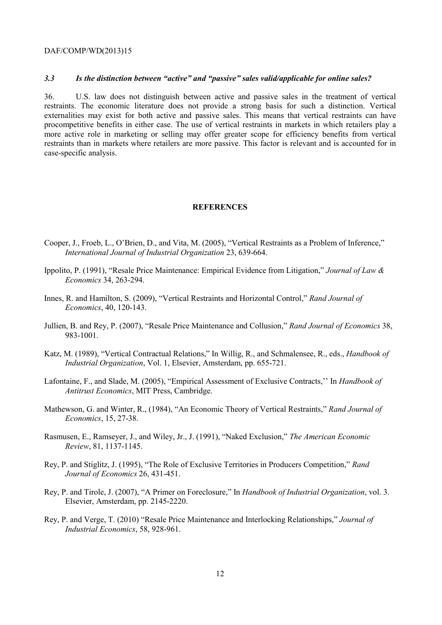#### *3.3 Is the distinction between "active" and "passive" sales valid/applicable for online sales?*

 procompetitive benefits in either case. The use of vertical restraints in markets in which retailers play a 36. U.S. law does not distinguish between active and passive sales in the treatment of vertical restraints. The economic literature does not provide a strong basis for such a distinction. Vertical externalities may exist for both active and passive sales. This means that vertical restraints can have more active role in marketing or selling may offer greater scope for efficiency benefits from vertical restraints than in markets where retailers are more passive. This factor is relevant and is accounted for in case-specific analysis.

#### **REFERENCES**

- Cooper, J., Froeb, L., O'Brien, D., and Vita, M. (2005), "Vertical Restraints as a Problem of Inference," *International Journal of Industrial Organization* 23, 639-664.
- Ippolito, P. (1991), "Resale Price Maintenance: Empirical Evidence from Litigation," *Journal of Law & Economics* 34, 263-294.
- Innes, R. and Hamilton, S. (2009), "Vertical Restraints and Horizontal Control," *Rand Journal of Economics*, 40, 120-143.
- Jullien, B. and Rey, P. (2007), "Resale Price Maintenance and Collusion," *Rand Journal of Economics* 38, 983-1001.
- Katz, M. (1989), "Vertical Contractual Relations," In Willig, R., and Schmalensee, R., eds., *Handbook of Industrial Organization*, Vol. 1, Elsevier, Amsterdam, pp. 655-721.
- Lafontaine, F., and Slade, M. (2005), "Empirical Assessment of Exclusive Contracts,'' In *Handbook of Antitrust Economics*, MIT Press, Cambridge.
- Mathewson, G. and Winter, R., (1984), "An Economic Theory of Vertical Restraints," *Rand Journal of Economics*, 15, 27-38.
- Rasmusen, E., Ramseyer, J., and Wiley, Jr., J. (1991), "Naked Exclusion," *The American Economic Review*, 81, 1137-1145.
- Rey, P. and Stiglitz, J. (1995), "The Role of Exclusive Territories in Producers Competition," *Rand Journal of Economics* 26, 431-451.
- Rey, P. and Tirole, J. (2007), "A Primer on Foreclosure," In *Handbook of Industrial Organization*, vol. 3. Elsevier, Amsterdam, pp. 2145-2220.
- Rey, P. and Verge, T. (2010) "Resale Price Maintenance and Interlocking Relationships," *Journal of Industrial Economics*, 58, 928-961.